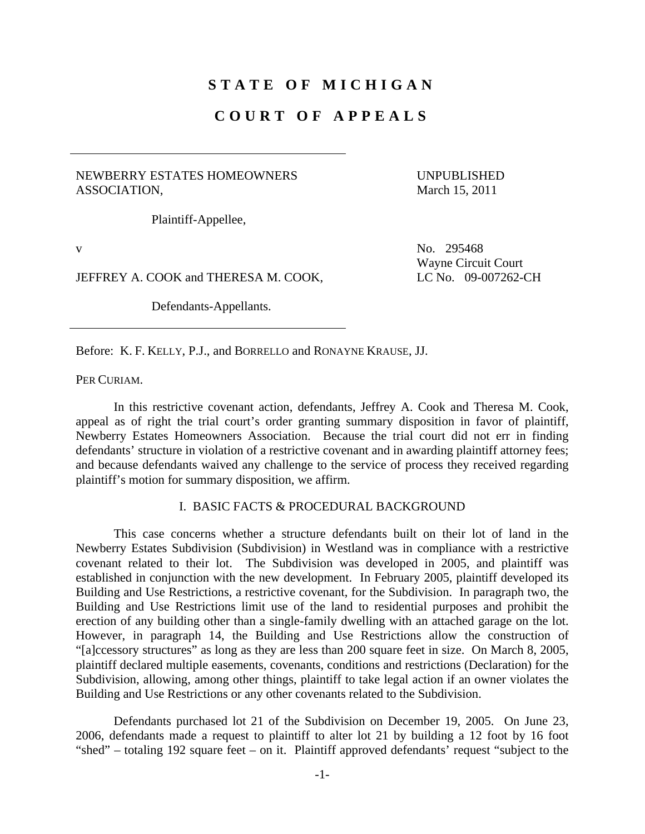# **STATE OF MICHIGAN**

## **COURT OF APPEALS**

### NEWBERRY ESTATES HOMEOWNERS ASSOCIATION,

UNPUBLISHED March 15, 2011

Plaintiff-Appellee,

JEFFREY A. COOK and THERESA M. COOK, LC No. 09-007262-CH

Defendants-Appellants.

v No. 295468 Wayne Circuit Court

Before: K. F. KELLY, P.J., and BORRELLO and RONAYNE KRAUSE, JJ.

PER CURIAM.

 In this restrictive covenant action, defendants, Jeffrey A. Cook and Theresa M. Cook, appeal as of right the trial court's order granting summary disposition in favor of plaintiff, Newberry Estates Homeowners Association. Because the trial court did not err in finding defendants' structure in violation of a restrictive covenant and in awarding plaintiff attorney fees; and because defendants waived any challenge to the service of process they received regarding plaintiff's motion for summary disposition, we affirm.

### I. BASIC FACTS & PROCEDURAL BACKGROUND

 This case concerns whether a structure defendants built on their lot of land in the Newberry Estates Subdivision (Subdivision) in Westland was in compliance with a restrictive covenant related to their lot. The Subdivision was developed in 2005, and plaintiff was established in conjunction with the new development. In February 2005, plaintiff developed its Building and Use Restrictions, a restrictive covenant, for the Subdivision. In paragraph two, the Building and Use Restrictions limit use of the land to residential purposes and prohibit the erection of any building other than a single-family dwelling with an attached garage on the lot. However, in paragraph 14, the Building and Use Restrictions allow the construction of "[a]ccessory structures" as long as they are less than 200 square feet in size. On March 8, 2005, plaintiff declared multiple easements, covenants, conditions and restrictions (Declaration) for the Subdivision, allowing, among other things, plaintiff to take legal action if an owner violates the Building and Use Restrictions or any other covenants related to the Subdivision.

 Defendants purchased lot 21 of the Subdivision on December 19, 2005. On June 23, 2006, defendants made a request to plaintiff to alter lot 21 by building a 12 foot by 16 foot "shed" – totaling 192 square feet – on it. Plaintiff approved defendants' request "subject to the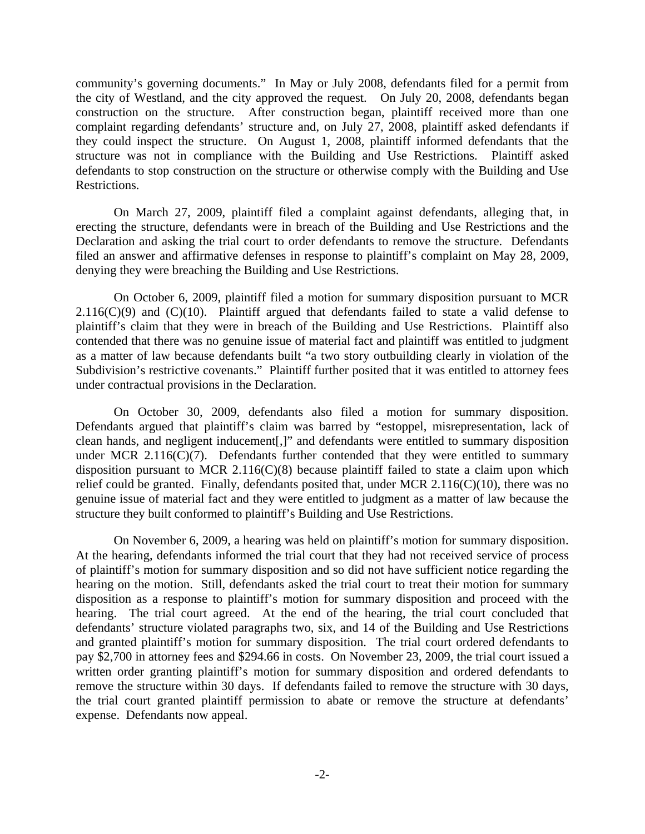community's governing documents." In May or July 2008, defendants filed for a permit from the city of Westland, and the city approved the request. On July 20, 2008, defendants began construction on the structure. After construction began, plaintiff received more than one complaint regarding defendants' structure and, on July 27, 2008, plaintiff asked defendants if they could inspect the structure. On August 1, 2008, plaintiff informed defendants that the structure was not in compliance with the Building and Use Restrictions. Plaintiff asked defendants to stop construction on the structure or otherwise comply with the Building and Use Restrictions.

 On March 27, 2009, plaintiff filed a complaint against defendants, alleging that, in erecting the structure, defendants were in breach of the Building and Use Restrictions and the Declaration and asking the trial court to order defendants to remove the structure. Defendants filed an answer and affirmative defenses in response to plaintiff's complaint on May 28, 2009, denying they were breaching the Building and Use Restrictions.

 On October 6, 2009, plaintiff filed a motion for summary disposition pursuant to MCR  $2.116(C)(9)$  and  $(C)(10)$ . Plaintiff argued that defendants failed to state a valid defense to plaintiff's claim that they were in breach of the Building and Use Restrictions. Plaintiff also contended that there was no genuine issue of material fact and plaintiff was entitled to judgment as a matter of law because defendants built "a two story outbuilding clearly in violation of the Subdivision's restrictive covenants." Plaintiff further posited that it was entitled to attorney fees under contractual provisions in the Declaration.

 On October 30, 2009, defendants also filed a motion for summary disposition. Defendants argued that plaintiff's claim was barred by "estoppel, misrepresentation, lack of clean hands, and negligent inducement[,]" and defendants were entitled to summary disposition under MCR 2.116(C)(7). Defendants further contended that they were entitled to summary disposition pursuant to MCR  $2.116(C)(8)$  because plaintiff failed to state a claim upon which relief could be granted. Finally, defendants posited that, under MCR  $2.116(C)(10)$ , there was no genuine issue of material fact and they were entitled to judgment as a matter of law because the structure they built conformed to plaintiff's Building and Use Restrictions.

 On November 6, 2009, a hearing was held on plaintiff's motion for summary disposition. At the hearing, defendants informed the trial court that they had not received service of process of plaintiff's motion for summary disposition and so did not have sufficient notice regarding the hearing on the motion. Still, defendants asked the trial court to treat their motion for summary disposition as a response to plaintiff's motion for summary disposition and proceed with the hearing. The trial court agreed. At the end of the hearing, the trial court concluded that defendants' structure violated paragraphs two, six, and 14 of the Building and Use Restrictions and granted plaintiff's motion for summary disposition. The trial court ordered defendants to pay \$2,700 in attorney fees and \$294.66 in costs. On November 23, 2009, the trial court issued a written order granting plaintiff's motion for summary disposition and ordered defendants to remove the structure within 30 days. If defendants failed to remove the structure with 30 days, the trial court granted plaintiff permission to abate or remove the structure at defendants' expense. Defendants now appeal.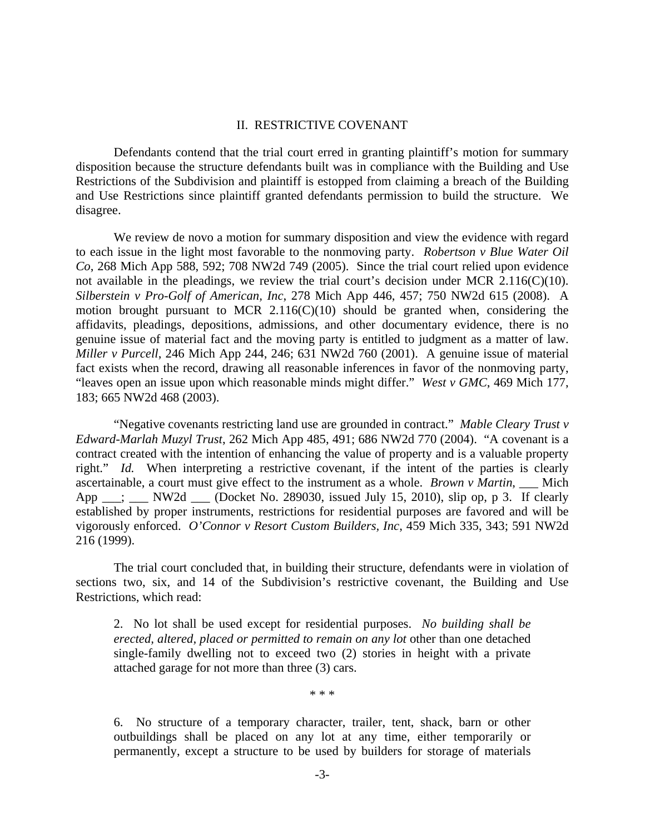#### II. RESTRICTIVE COVENANT

 Defendants contend that the trial court erred in granting plaintiff's motion for summary disposition because the structure defendants built was in compliance with the Building and Use Restrictions of the Subdivision and plaintiff is estopped from claiming a breach of the Building and Use Restrictions since plaintiff granted defendants permission to build the structure. We disagree.

 We review de novo a motion for summary disposition and view the evidence with regard to each issue in the light most favorable to the nonmoving party. *Robertson v Blue Water Oil Co*, 268 Mich App 588, 592; 708 NW2d 749 (2005). Since the trial court relied upon evidence not available in the pleadings, we review the trial court's decision under MCR 2.116(C)(10). *Silberstein v Pro-Golf of American, Inc*, 278 Mich App 446, 457; 750 NW2d 615 (2008). A motion brought pursuant to MCR  $2.116(C)(10)$  should be granted when, considering the affidavits, pleadings, depositions, admissions, and other documentary evidence, there is no genuine issue of material fact and the moving party is entitled to judgment as a matter of law. *Miller v Purcell*, 246 Mich App 244, 246; 631 NW2d 760 (2001). A genuine issue of material fact exists when the record, drawing all reasonable inferences in favor of the nonmoving party, "leaves open an issue upon which reasonable minds might differ." *West v GMC*, 469 Mich 177, 183; 665 NW2d 468 (2003).

 "Negative covenants restricting land use are grounded in contract." *Mable Cleary Trust v Edward-Marlah Muzyl Trust*, 262 Mich App 485, 491; 686 NW2d 770 (2004). "A covenant is a contract created with the intention of enhancing the value of property and is a valuable property right." *Id.* When interpreting a restrictive covenant, if the intent of the parties is clearly ascertainable, a court must give effect to the instrument as a whole. *Brown v Martin*, Mich App \_\_\_; \_\_\_ NW2d \_\_\_ (Docket No. 289030, issued July 15, 2010), slip op, p 3. If clearly established by proper instruments, restrictions for residential purposes are favored and will be vigorously enforced. *O'Connor v Resort Custom Builders, Inc*, 459 Mich 335, 343; 591 NW2d 216 (1999).

 The trial court concluded that, in building their structure, defendants were in violation of sections two, six, and 14 of the Subdivision's restrictive covenant, the Building and Use Restrictions, which read:

2. No lot shall be used except for residential purposes. *No building shall be erected, altered, placed or permitted to remain on any lot* other than one detached single-family dwelling not to exceed two (2) stories in height with a private attached garage for not more than three (3) cars.

\* \* \*

6. No structure of a temporary character, trailer, tent, shack, barn or other outbuildings shall be placed on any lot at any time, either temporarily or permanently, except a structure to be used by builders for storage of materials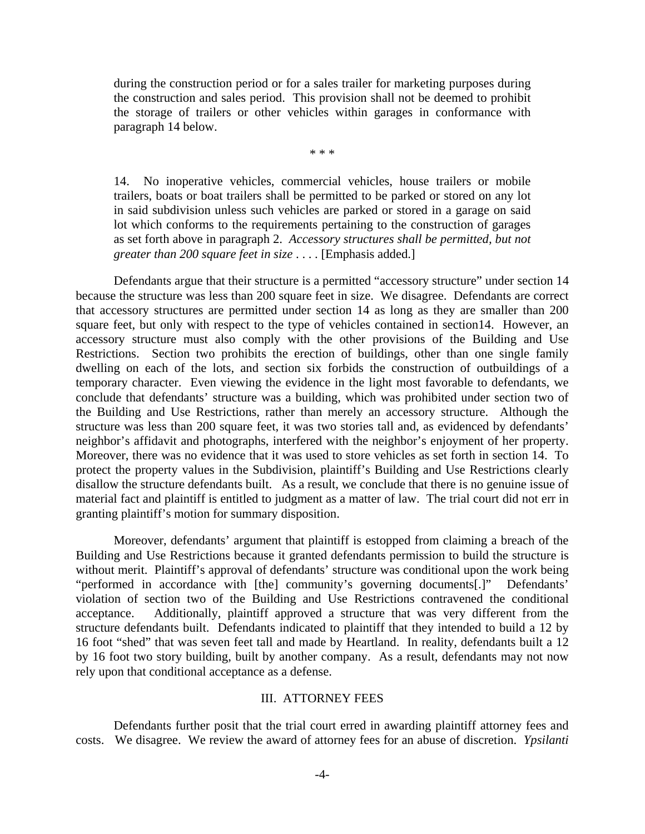during the construction period or for a sales trailer for marketing purposes during the construction and sales period. This provision shall not be deemed to prohibit the storage of trailers or other vehicles within garages in conformance with paragraph 14 below.

\* \* \*

14. No inoperative vehicles, commercial vehicles, house trailers or mobile trailers, boats or boat trailers shall be permitted to be parked or stored on any lot in said subdivision unless such vehicles are parked or stored in a garage on said lot which conforms to the requirements pertaining to the construction of garages as set forth above in paragraph 2. *Accessory structures shall be permitted, but not greater than 200 square feet in size* . . . . [Emphasis added.]

 Defendants argue that their structure is a permitted "accessory structure" under section 14 because the structure was less than 200 square feet in size. We disagree. Defendants are correct that accessory structures are permitted under section 14 as long as they are smaller than 200 square feet, but only with respect to the type of vehicles contained in section14. However, an accessory structure must also comply with the other provisions of the Building and Use Restrictions. Section two prohibits the erection of buildings, other than one single family dwelling on each of the lots, and section six forbids the construction of outbuildings of a temporary character. Even viewing the evidence in the light most favorable to defendants, we conclude that defendants' structure was a building, which was prohibited under section two of the Building and Use Restrictions, rather than merely an accessory structure. Although the structure was less than 200 square feet, it was two stories tall and, as evidenced by defendants' neighbor's affidavit and photographs, interfered with the neighbor's enjoyment of her property. Moreover, there was no evidence that it was used to store vehicles as set forth in section 14. To protect the property values in the Subdivision, plaintiff's Building and Use Restrictions clearly disallow the structure defendants built. As a result, we conclude that there is no genuine issue of material fact and plaintiff is entitled to judgment as a matter of law. The trial court did not err in granting plaintiff's motion for summary disposition.

 Moreover, defendants' argument that plaintiff is estopped from claiming a breach of the Building and Use Restrictions because it granted defendants permission to build the structure is without merit. Plaintiff's approval of defendants' structure was conditional upon the work being "performed in accordance with [the] community's governing documents[.]" Defendants' violation of section two of the Building and Use Restrictions contravened the conditional acceptance. Additionally, plaintiff approved a structure that was very different from the structure defendants built. Defendants indicated to plaintiff that they intended to build a 12 by 16 foot "shed" that was seven feet tall and made by Heartland. In reality, defendants built a 12 by 16 foot two story building, built by another company. As a result, defendants may not now rely upon that conditional acceptance as a defense.

#### III. ATTORNEY FEES

 Defendants further posit that the trial court erred in awarding plaintiff attorney fees and costs. We disagree. We review the award of attorney fees for an abuse of discretion. *Ypsilanti*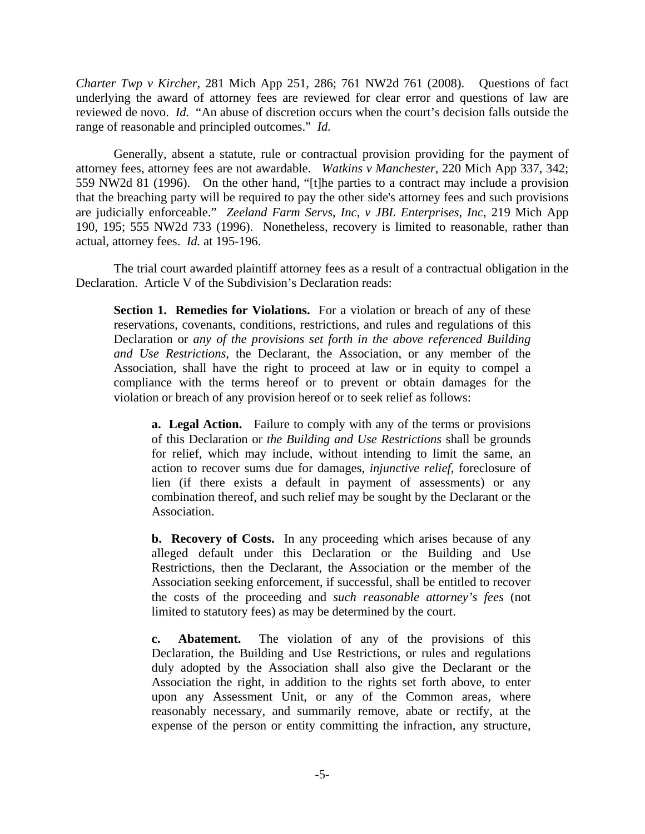*Charter Twp v Kircher*, 281 Mich App 251, 286; 761 NW2d 761 (2008). Questions of fact underlying the award of attorney fees are reviewed for clear error and questions of law are reviewed de novo. *Id.* "An abuse of discretion occurs when the court's decision falls outside the range of reasonable and principled outcomes." *Id.*

 Generally, absent a statute, rule or contractual provision providing for the payment of attorney fees, attorney fees are not awardable. *Watkins v Manchester*, 220 Mich App 337, 342; 559 NW2d 81 (1996). On the other hand, "[t]he parties to a contract may include a provision that the breaching party will be required to pay the other side's attorney fees and such provisions are judicially enforceable." *Zeeland Farm Servs, Inc, v JBL Enterprises, Inc*, 219 Mich App 190, 195; 555 NW2d 733 (1996). Nonetheless, recovery is limited to reasonable, rather than actual, attorney fees. *Id.* at 195-196.

 The trial court awarded plaintiff attorney fees as a result of a contractual obligation in the Declaration. Article V of the Subdivision's Declaration reads:

**Section 1. Remedies for Violations.** For a violation or breach of any of these reservations, covenants, conditions, restrictions, and rules and regulations of this Declaration or *any of the provisions set forth in the above referenced Building and Use Restrictions*, the Declarant, the Association, or any member of the Association, shall have the right to proceed at law or in equity to compel a compliance with the terms hereof or to prevent or obtain damages for the violation or breach of any provision hereof or to seek relief as follows:

**a. Legal Action.** Failure to comply with any of the terms or provisions of this Declaration or *the Building and Use Restrictions* shall be grounds for relief, which may include, without intending to limit the same, an action to recover sums due for damages, *injunctive relief*, foreclosure of lien (if there exists a default in payment of assessments) or any combination thereof, and such relief may be sought by the Declarant or the Association.

 **b. Recovery of Costs.** In any proceeding which arises because of any alleged default under this Declaration or the Building and Use Restrictions, then the Declarant, the Association or the member of the Association seeking enforcement, if successful, shall be entitled to recover the costs of the proceeding and *such reasonable attorney's fees* (not limited to statutory fees) as may be determined by the court.

 **c. Abatement.** The violation of any of the provisions of this Declaration, the Building and Use Restrictions, or rules and regulations duly adopted by the Association shall also give the Declarant or the Association the right, in addition to the rights set forth above, to enter upon any Assessment Unit, or any of the Common areas, where reasonably necessary, and summarily remove, abate or rectify, at the expense of the person or entity committing the infraction, any structure,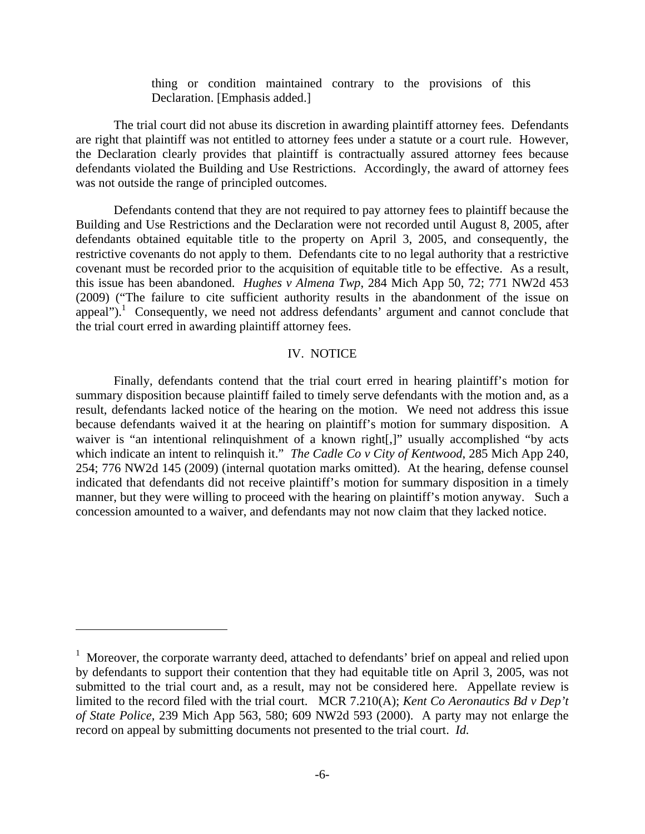thing or condition maintained contrary to the provisions of this Declaration. [Emphasis added.]

 The trial court did not abuse its discretion in awarding plaintiff attorney fees. Defendants are right that plaintiff was not entitled to attorney fees under a statute or a court rule. However, the Declaration clearly provides that plaintiff is contractually assured attorney fees because defendants violated the Building and Use Restrictions. Accordingly, the award of attorney fees was not outside the range of principled outcomes.

 Defendants contend that they are not required to pay attorney fees to plaintiff because the Building and Use Restrictions and the Declaration were not recorded until August 8, 2005, after defendants obtained equitable title to the property on April 3, 2005, and consequently, the restrictive covenants do not apply to them. Defendants cite to no legal authority that a restrictive covenant must be recorded prior to the acquisition of equitable title to be effective. As a result, this issue has been abandoned. *Hughes v Almena Twp*, 284 Mich App 50, 72; 771 NW2d 453 (2009) ("The failure to cite sufficient authority results in the abandonment of the issue on appeal").<sup>1</sup> Consequently, we need not address defendants' argument and cannot conclude that the trial court erred in awarding plaintiff attorney fees.

## IV. NOTICE

 Finally, defendants contend that the trial court erred in hearing plaintiff's motion for summary disposition because plaintiff failed to timely serve defendants with the motion and, as a result, defendants lacked notice of the hearing on the motion. We need not address this issue because defendants waived it at the hearing on plaintiff's motion for summary disposition. A waiver is "an intentional relinquishment of a known right[,]" usually accomplished "by acts which indicate an intent to relinquish it." *The Cadle Co v City of Kentwood*, 285 Mich App 240, 254; 776 NW2d 145 (2009) (internal quotation marks omitted). At the hearing, defense counsel indicated that defendants did not receive plaintiff's motion for summary disposition in a timely manner, but they were willing to proceed with the hearing on plaintiff's motion anyway. Such a concession amounted to a waiver, and defendants may not now claim that they lacked notice.

 $\overline{a}$ 

<sup>&</sup>lt;sup>1</sup> Moreover, the corporate warranty deed, attached to defendants' brief on appeal and relied upon by defendants to support their contention that they had equitable title on April 3, 2005, was not submitted to the trial court and, as a result, may not be considered here. Appellate review is limited to the record filed with the trial court. MCR 7.210(A); *Kent Co Aeronautics Bd v Dep't of State Police*, 239 Mich App 563, 580; 609 NW2d 593 (2000). A party may not enlarge the record on appeal by submitting documents not presented to the trial court. *Id.*